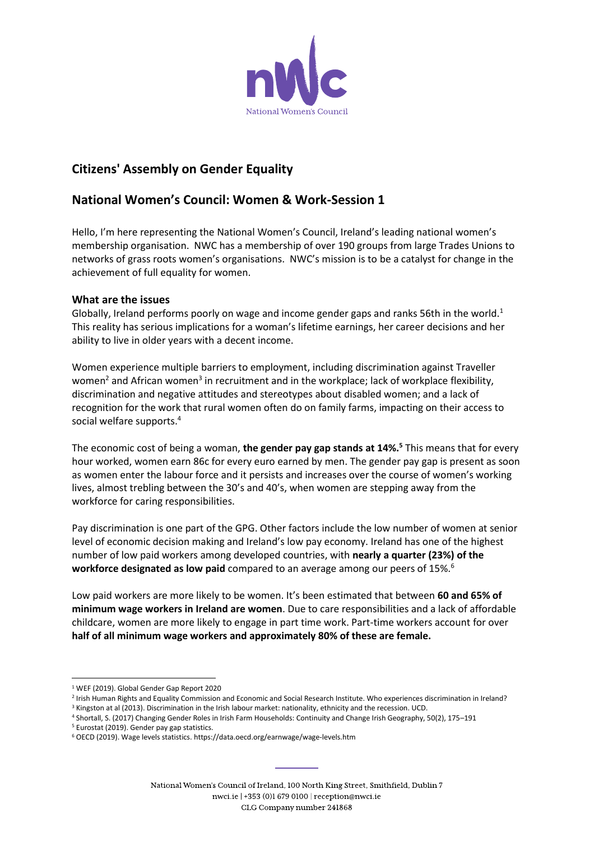

# **Citizens' Assembly on Gender Equality**

## **National Women's Council: Women & Work-Session 1**

Hello, I'm here representing the National Women's Council, Ireland's leading national women's membership organisation. NWC has a membership of over 190 groups from large Trades Unions to networks of grass roots women's organisations. NWC's mission is to be a catalyst for change in the achievement of full equality for women.

#### **What are the issues**

Globally, Ireland performs poorly on wage and income gender gaps and ranks 56th in the world.<sup>1</sup> This reality has serious implications for a woman's lifetime earnings, her career decisions and her ability to live in older years with a decent income.

Women experience multiple barriers to employment, including discrimination against Traveller women<sup>2</sup> and African women<sup>3</sup> in recruitment and in the workplace; lack of workplace flexibility, discrimination and negative attitudes and stereotypes about disabled women; and a lack of recognition for the work that rural women often do on family farms, impacting on their access to social welfare supports. 4

The economic cost of being a woman, **the gender pay gap stands at 14%.<sup>5</sup>** This means that for every hour worked, women earn 86c for every euro earned by men. The gender pay gap is present as soon as women enter the labour force and it persists and increases over the course of women's working lives, almost trebling between the 30's and 40's, when women are stepping away from the workforce for caring responsibilities.

Pay discrimination is one part of the GPG. Other factors include the low number of women at senior level of economic decision making and Ireland's low pay economy. Ireland has one of the highest number of low paid workers among developed countries, with **nearly a quarter (23%) of the workforce designated as low paid** compared to an average among our peers of 15%.<sup>6</sup>

Low paid workers are more likely to be women. It's been estimated that between **60 and 65% of minimum wage workers in Ireland are women**. Due to care responsibilities and a lack of affordable childcare, women are more likely to engage in part time work. Part-time workers account for over **half of all minimum wage workers and approximately 80% of these are female.**

 $\overline{a}$ 

<sup>5</sup> Eurostat (2019). Gender pay gap statistics.

<sup>&</sup>lt;sup>1</sup> WEF (2019). Global Gender Gap Report 2020

<sup>2</sup> Irish Human Rights and Equality Commission and Economic and Social Research Institute. Who experiences discrimination in Ireland?

<sup>&</sup>lt;sup>3</sup> Kingston at al (2013). Discrimination in the Irish labour market: nationality, ethnicity and the recession. UCD.

<sup>4</sup> Shortall, S. (2017) Changing Gender Roles in Irish Farm Households: Continuity and Change Irish Geography, 50(2), 175–191

<sup>6</sup> OECD (2019). Wage levels statistics. https://data.oecd.org/earnwage/wage-levels.htm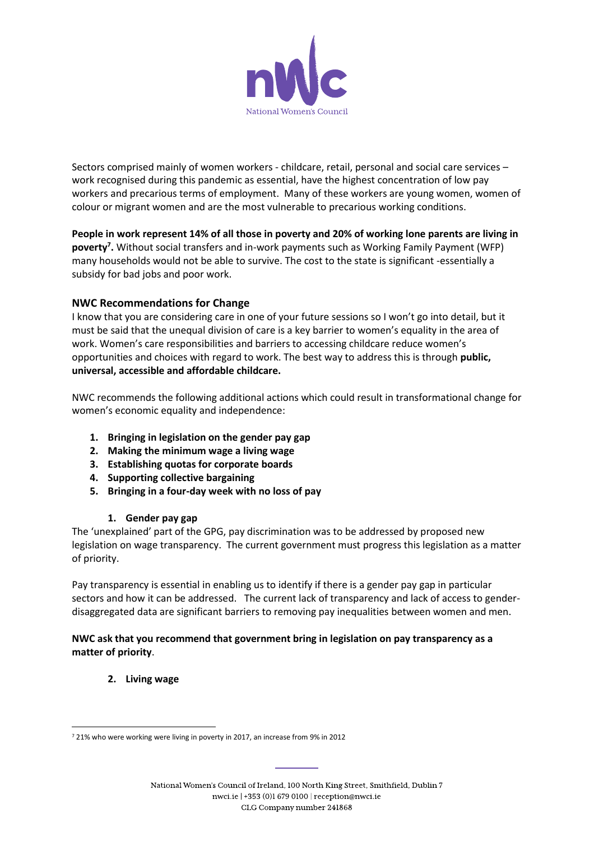

Sectors comprised mainly of women workers - childcare, retail, personal and social care services – work recognised during this pandemic as essential, have the highest concentration of low pay workers and precarious terms of employment. Many of these workers are young women, women of colour or migrant women and are the most vulnerable to precarious working conditions.

**People in work represent 14% of all those in poverty and 20% of working lone parents are living in poverty<sup>7</sup> .** Without social transfers and in-work payments such as Working Family Payment (WFP) many households would not be able to survive. The cost to the state is significant -essentially a subsidy for bad jobs and poor work.

#### **NWC Recommendations for Change**

I know that you are considering care in one of your future sessions so I won't go into detail, but it must be said that the unequal division of care is a key barrier to women's equality in the area of work. Women's care responsibilities and barriers to accessing childcare reduce women's opportunities and choices with regard to work. The best way to address this is through **public, universal, accessible and affordable childcare.** 

NWC recommends the following additional actions which could result in transformational change for women's economic equality and independence:

- **1. Bringing in legislation on the gender pay gap**
- **2. Making the minimum wage a living wage**
- **3. Establishing quotas for corporate boards**
- **4. Supporting collective bargaining**
- **5. Bringing in a four-day week with no loss of pay**

#### **1. Gender pay gap**

The 'unexplained' part of the GPG, pay discrimination was to be addressed by proposed new legislation on wage transparency. The current government must progress this legislation as a matter of priority.

Pay transparency is essential in enabling us to identify if there is a gender pay gap in particular sectors and how it can be addressed. The current lack of transparency and lack of access to genderdisaggregated data are significant barriers to removing pay inequalities between women and men.

#### **NWC ask that you recommend that government bring in legislation on pay transparency as a matter of priority**.

**2. Living wage**

 $\overline{\phantom{a}}$ <sup>7</sup> 21% who were working were living in poverty in 2017, an increase from 9% in 2012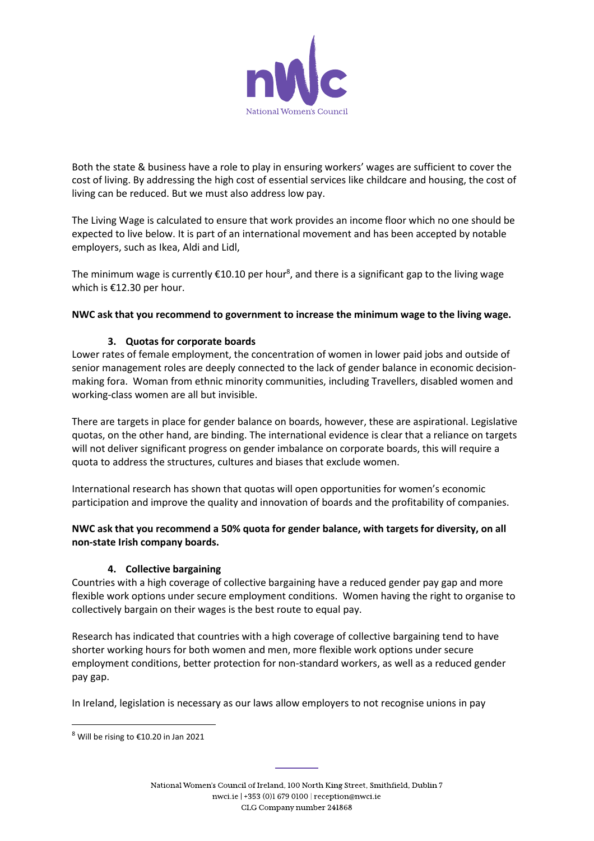

Both the state & business have a role to play in ensuring workers' wages are sufficient to cover the cost of living. By addressing the high cost of essential services like childcare and housing, the cost of living can be reduced. But we must also address low pay.

The Living Wage is calculated to ensure that work provides an income floor which no one should be expected to live below. It is part of an international movement and has been accepted by notable employers, such as Ikea, Aldi and Lidl,

The minimum wage is currently  $\epsilon$ 10.10 per hour $^{\text{s}}$ , and there is a significant gap to the living wage which is €12.30 per hour.

**NWC ask that you recommend to government to increase the minimum wage to the living wage.** 

#### **3. Quotas for corporate boards**

Lower rates of female employment, the concentration of women in lower paid jobs and outside of senior management roles are deeply connected to the lack of gender balance in economic decisionmaking fora. Woman from ethnic minority communities, including Travellers, disabled women and working-class women are all but invisible.

There are targets in place for gender balance on boards, however, these are aspirational. Legislative quotas, on the other hand, are binding. The international evidence is clear that a reliance on targets will not deliver significant progress on gender imbalance on corporate boards, this will require a quota to address the structures, cultures and biases that exclude women.

International research has shown that quotas will open opportunities for women's economic participation and improve the quality and innovation of boards and the profitability of companies.

#### **NWC ask that you recommend a 50% quota for gender balance, with targets for diversity, on all non-state Irish company boards.**

#### **4. Collective bargaining**

Countries with a high coverage of collective bargaining have a reduced gender pay gap and more flexible work options under secure employment conditions. Women having the right to organise to collectively bargain on their wages is the best route to equal pay.

Research has indicated that countries with a high coverage of collective bargaining tend to have shorter working hours for both women and men, more flexible work options under secure employment conditions, better protection for non-standard workers, as well as a reduced gender pay gap.

In Ireland, legislation is necessary as our laws allow employers to not recognise unions in pay

 $\overline{a}$ 

<sup>8</sup> Will be rising to €10.20 in Jan 2021